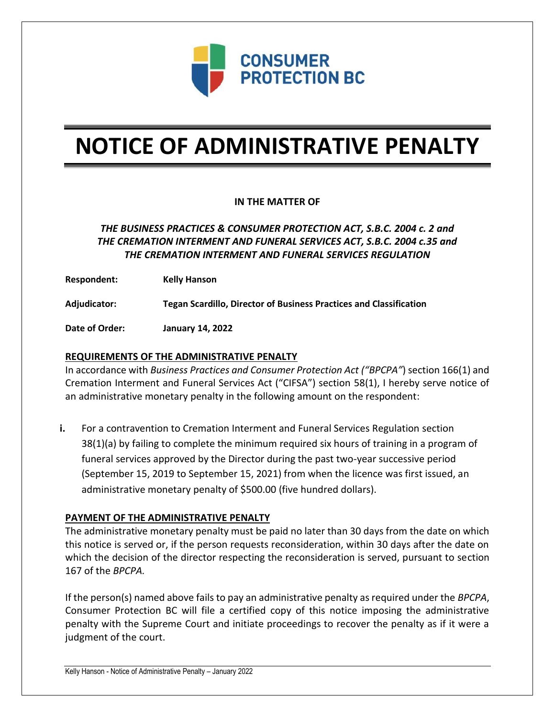

# **NOTICE OF ADMINISTRATIVE PENALTY**

## **IN THE MATTER OF**

## *THE BUSINESS PRACTICES & CONSUMER PROTECTION ACT, S.B.C. 2004 c. 2 and THE CREMATION INTERMENT AND FUNERAL SERVICES ACT, S.B.C. 2004 c.35 and THE CREMATION INTERMENT AND FUNERAL SERVICES REGULATION*

**Respondent: Kelly Hanson**

**Adjudicator: Tegan Scardillo, Director of Business Practices and Classification**

**Date of Order: January 14, 2022**

### **REQUIREMENTS OF THE ADMINISTRATIVE PENALTY**

In accordance with *Business Practices and Consumer Protection Act ("BPCPA"*) section 166(1) and Cremation Interment and Funeral Services Act ("CIFSA") section 58(1), I hereby serve notice of an administrative monetary penalty in the following amount on the respondent:

**i.** For a contravention to Cremation Interment and Funeral Services Regulation section 38(1)(a) by failing to complete the minimum required six hours of training in a program of funeral services approved by the Director during the past two-year successive period (September 15, 2019 to September 15, 2021) from when the licence was first issued, an administrative monetary penalty of \$500.00 (five hundred dollars).

#### **PAYMENT OF THE ADMINISTRATIVE PENALTY**

The administrative monetary penalty must be paid no later than 30 days from the date on which this notice is served or, if the person requests reconsideration, within 30 days after the date on which the decision of the director respecting the reconsideration is served, pursuant to section 167 of the *BPCPA.* 

If the person(s) named above fails to pay an administrative penalty as required under the *BPCPA*, Consumer Protection BC will file a certified copy of this notice imposing the administrative penalty with the Supreme Court and initiate proceedings to recover the penalty as if it were a judgment of the court.